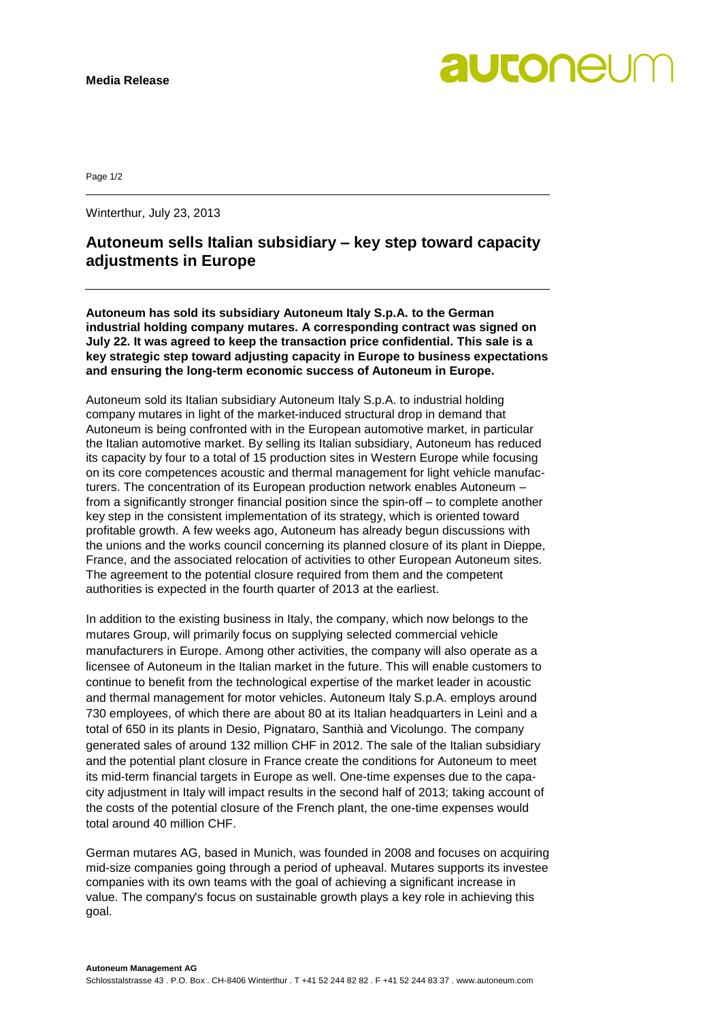

Page 1/2

Winterthur, July 23, 2013

## **Autoneum sells Italian subsidiary – key step toward capacity adjustments in Europe**

**Autoneum has sold its subsidiary Autoneum Italy S.p.A. to the German industrial holding company mutares. A corresponding contract was signed on July 22. It was agreed to keep the transaction price confidential. This sale is a key strategic step toward adjusting capacity in Europe to business expectations and ensuring the long-term economic success of Autoneum in Europe.**

Autoneum sold its Italian subsidiary Autoneum Italy S.p.A. to industrial holding company mutares in light of the market-induced structural drop in demand that Autoneum is being confronted with in the European automotive market, in particular the Italian automotive market. By selling its Italian subsidiary, Autoneum has reduced its capacity by four to a total of 15 production sites in Western Europe while focusing on its core competences acoustic and thermal management for light vehicle manufacturers. The concentration of its European production network enables Autoneum – from a significantly stronger financial position since the spin-off – to complete another key step in the consistent implementation of its strategy, which is oriented toward profitable growth. A few weeks ago, Autoneum has already begun discussions with the unions and the works council concerning its planned closure of its plant in Dieppe, France, and the associated relocation of activities to other European Autoneum sites. The agreement to the potential closure required from them and the competent authorities is expected in the fourth quarter of 2013 at the earliest.

In addition to the existing business in Italy, the company, which now belongs to the mutares Group, will primarily focus on supplying selected commercial vehicle manufacturers in Europe. Among other activities, the company will also operate as a licensee of Autoneum in the Italian market in the future. This will enable customers to continue to benefit from the technological expertise of the market leader in acoustic and thermal management for motor vehicles. Autoneum Italy S.p.A. employs around 730 employees, of which there are about 80 at its Italian headquarters in Leinì and a total of 650 in its plants in Desio, Pignataro, Santhià and Vicolungo. The company generated sales of around 132 million CHF in 2012. The sale of the Italian subsidiary and the potential plant closure in France create the conditions for Autoneum to meet its mid-term financial targets in Europe as well. One-time expenses due to the capacity adjustment in Italy will impact results in the second half of 2013; taking account of the costs of the potential closure of the French plant, the one-time expenses would total around 40 million CHF.

German mutares AG, based in Munich, was founded in 2008 and focuses on acquiring mid-size companies going through a period of upheaval. Mutares supports its investee companies with its own teams with the goal of achieving a significant increase in value. The company's focus on sustainable growth plays a key role in achieving this goal.